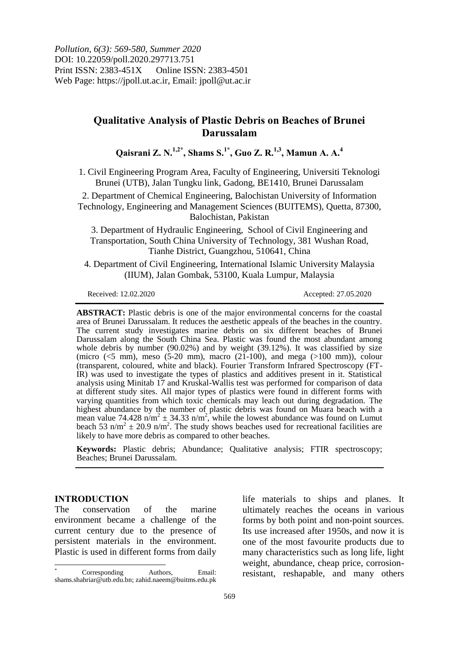*Pollution, 6(3): 569-580, Summer 2020* DOI: 10.22059/poll.2020.297713.751 Print ISSN: 2383-451X Online ISSN: 2383-4501 Web Page: https://jpoll.ut.ac.ir, Email: jpoll@ut.ac.ir

# **Qualitative Analysis of Plastic Debris on Beaches of Brunei Darussalam**

**Qaisrani Z. N.1,2\*, Shams S.1\*, Guo Z. R.1,3, Mamun A. A.<sup>4</sup>**

1. Civil Engineering Program Area, Faculty of Engineering, Universiti Teknologi Brunei (UTB), Jalan Tungku link, Gadong, BE1410, Brunei Darussalam

2. Department of Chemical Engineering, Balochistan University of Information Technology, Engineering and Management Sciences (BUITEMS), Quetta, 87300, Balochistan, Pakistan

3. Department of Hydraulic Engineering, School of Civil Engineering and Transportation, South China University of Technology, 381 Wushan Road, Tianhe District, Guangzhou, 510641, China

4. Department of Civil Engineering, International Islamic University Malaysia (IIUM), Jalan Gombak, 53100, Kuala Lumpur, Malaysia

Received: 12.02.2020 Accepted: 27.05.2020

**ABSTRACT:** Plastic debris is one of the major environmental concerns for the coastal area of Brunei Darussalam. It reduces the aesthetic appeals of the beaches in the country. The current study investigates marine debris on six different beaches of Brunei Darussalam along the South China Sea. Plastic was found the most abundant among whole debris by number (90.02%) and by weight (39.12%). It was classified by size (micro  $(<5$  mm), meso  $(5-20$  mm), macro  $(21-100)$ , and mega  $(>100$  mm)), colour (transparent, coloured, white and black). Fourier Transform Infrared Spectroscopy (FT-IR) was used to investigate the types of plastics and additives present in it. Statistical analysis using Minitab 17 and Kruskal-Wallis test was performed for comparison of data at different study sites. All major types of plastics were found in different forms with varying quantities from which toxic chemicals may leach out during degradation. The highest abundance by the number of plastic debris was found on Muara beach with a mean value 74.428  $n/m^2 \pm 34.33$   $n/m^2$ , while the lowest abundance was found on Lumut beach 53 n/m<sup>2</sup>  $\pm$  20.9 n/m<sup>2</sup>. The study shows beaches used for recreational facilities are likely to have more debris as compared to other beaches.

**Keywords:** Plastic debris; Abundance; Qualitative analysis; FTIR spectroscopy; Beaches; Brunei Darussalam.

## **INTRODUCTION**

 $\overline{\phantom{a}}$ 

The conservation of the marine environment became a challenge of the current century due to the presence of persistent materials in the environment. Plastic is used in different forms from daily life materials to ships and planes. It ultimately reaches the oceans in various forms by both point and non-point sources. Its use increased after 1950s, and now it is one of the most favourite products due to many characteristics such as long life, light weight, abundance, cheap price, corrosionresistant, reshapable, and many others

 $Corresponding$  Authors, Email: shams.shahriar@utb.edu.bn; zahid.naeem@buitms.edu.pk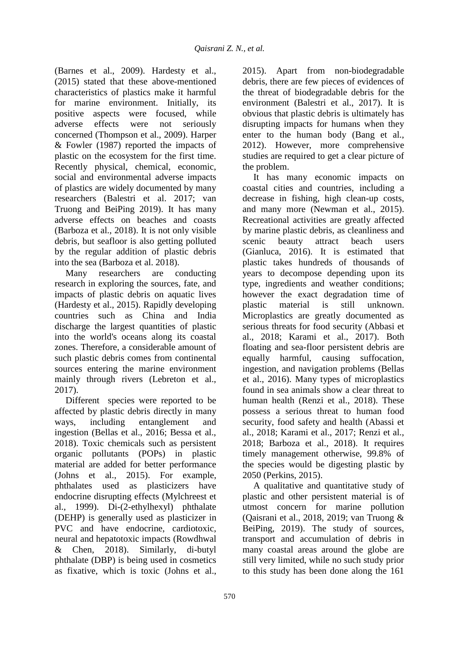(Barnes et al., 2009). Hardesty et al., (2015) stated that these above-mentioned characteristics of plastics make it harmful for marine environment. Initially, its positive aspects were focused, while adverse effects were not seriously concerned (Thompson et al., 2009). Harper & Fowler (1987) reported the impacts of plastic on the ecosystem for the first time. Recently physical, chemical, economic, social and environmental adverse impacts of plastics are widely documented by many researchers (Balestri et al. 2017; van Truong and BeiPing 2019). It has many adverse effects on beaches and coasts (Barboza et al., 2018). It is not only visible debris, but seafloor is also getting polluted by the regular addition of plastic debris into the sea (Barboza et al. 2018).

Many researchers are conducting research in exploring the sources, fate, and impacts of plastic debris on aquatic lives (Hardesty et al., 2015). Rapidly developing countries such as China and India discharge the largest quantities of plastic into the world's oceans along its coastal zones. Therefore, a considerable amount of such plastic debris comes from continental sources entering the marine environment mainly through rivers (Lebreton et al., 2017).

Different species were reported to be affected by plastic debris directly in many ways, including entanglement and ingestion (Bellas et al., 2016; Bessa et al., 2018). Toxic chemicals such as persistent organic pollutants (POPs) in plastic material are added for better performance (Johns et al., 2015). For example, phthalates used as plasticizers have endocrine disrupting effects (Mylchreest et al., 1999). Di-(2-ethylhexyl) phthalate (DEHP) is generally used as plasticizer in PVC and have endocrine, cardiotoxic, neural and hepatotoxic impacts (Rowdhwal & Chen, 2018). Similarly, di-butyl phthalate (DBP) is being used in cosmetics as fixative, which is toxic (Johns et al.,

2015). Apart from non-biodegradable debris, there are few pieces of evidences of the threat of biodegradable debris for the environment (Balestri et al., 2017). It is obvious that plastic debris is ultimately has disrupting impacts for humans when they enter to the human body (Bang et al., 2012). However, more comprehensive studies are required to get a clear picture of the problem.

It has many economic impacts on coastal cities and countries, including a decrease in fishing, high clean-up costs, and many more (Newman et al., 2015). Recreational activities are greatly affected by marine plastic debris, as cleanliness and scenic beauty attract beach users (Gianluca, 2016). It is estimated that plastic takes hundreds of thousands of years to decompose depending upon its type, ingredients and weather conditions; however the exact degradation time of plastic material is still unknown. Microplastics are greatly documented as serious threats for food security (Abbasi et al., 2018; Karami et al., 2017). Both floating and sea-floor persistent debris are equally harmful, causing suffocation, ingestion, and navigation problems (Bellas et al., 2016). Many types of microplastics found in sea animals show a clear threat to human health (Renzi et al., 2018). These possess a serious threat to human food security, food safety and health (Abassi et al., 2018; Karami et al., 2017; Renzi et al., 2018; Barboza et al., 2018). It requires timely management otherwise, 99.8% of the species would be digesting plastic by 2050 (Perkins, 2015).

A qualitative and quantitative study of plastic and other persistent material is of utmost concern for marine pollution (Qaisrani et al., 2018, 2019; van Truong & BeiPing, 2019). The study of sources, transport and accumulation of debris in many coastal areas around the globe are still very limited, while no such study prior to this study has been done along the 161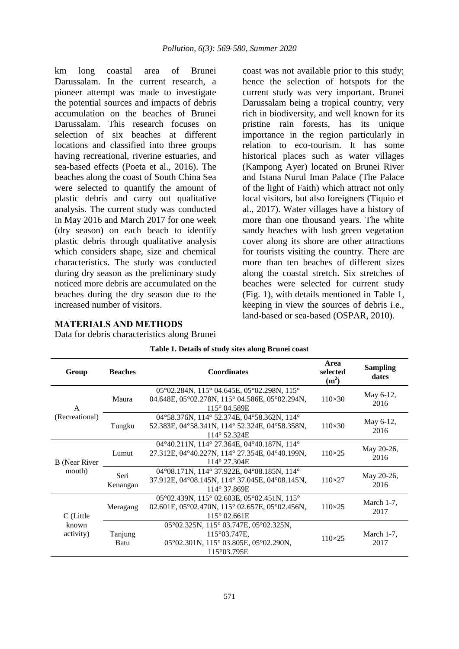km long coastal area of Brunei Darussalam. In the current research, a pioneer attempt was made to investigate the potential sources and impacts of debris accumulation on the beaches of Brunei Darussalam. This research focuses on selection of six beaches at different locations and classified into three groups having recreational, riverine estuaries, and sea-based effects (Poeta et al., 2016). The beaches along the coast of South China Sea were selected to quantify the amount of plastic debris and carry out qualitative analysis. The current study was conducted in May 2016 and March 2017 for one week (dry season) on each beach to identify plastic debris through qualitative analysis which considers shape, size and chemical characteristics. The study was conducted during dry season as the preliminary study noticed more debris are accumulated on the beaches during the dry season due to the increased number of visitors.

coast was not available prior to this study; hence the selection of hotspots for the current study was very important. Brunei Darussalam being a tropical country, very rich in biodiversity, and well known for its pristine rain forests, has its unique importance in the region particularly in relation to eco-tourism. It has some historical places such as water villages (Kampong Ayer) located on Brunei River and Istana Nurul Iman Palace (The Palace of the light of Faith) which attract not only local visitors, but also foreigners (Tiquio et al., 2017). Water villages have a history of more than one thousand years. The white sandy beaches with lush green vegetation cover along its shore are other attractions for tourists visiting the country. There are more than ten beaches of different sizes along the coastal stretch. Six stretches of beaches were selected for current study (Fig. 1), with details mentioned in Table 1, keeping in view the sources of debris i.e., land-based or sea-based (OSPAR, 2010).

## **MATERIALS AND METHODS**

Data for debris characteristics along Brunei

| Group                | <b>Beaches</b>   | <b>Coordinates</b>                                                                                                                                          | Area<br>selected<br>$(m^2)$ | <b>Sampling</b><br>dates |
|----------------------|------------------|-------------------------------------------------------------------------------------------------------------------------------------------------------------|-----------------------------|--------------------------|
| A                    | Maura            | $05^{\circ}02.284N$ , 115° 04.645E, 05° 02.298N, 115°<br>04.648E, 05°02.278N, 115° 04.586E, 05°02.294N,<br>115° 04.589E                                     | $110\times30$               | May 6-12,<br>2016        |
| (Recreational)       | Tungku           | 04°58.376N, 114° 52.374E, 04°58.362N, 114°<br>52.383E, 04°58.341N, 114° 52.324E, 04°58.358N,<br>114° 52.324E                                                | $110\times30$               | May 6-12,<br>2016        |
| <b>B</b> (Near River | Lumut            | 04°40.211N, 114° 27.364E, 04°40.187N, 114°<br>27.312E, 04°40.227N, 114° 27.354E, 04°40.199N,<br>114° 27.304E                                                | $110\times25$               | May 20-26,<br>2016       |
| mouth)               | Seri<br>Kenangan | 04°08.171N, 114° 37.922E, 04°08.185N, 114°<br>37.912E, 04°08.145N, 114° 37.045E, 04°08.145N,<br>114° 37.869E                                                | $110\times27$               | May 20-26,<br>2016       |
| C (Little            | Meragang         | $05^{\circ}02.439N$ , $115^{\circ}02.603E$ , $05^{\circ}02.451N$ , $115^{\circ}$<br>02.601E, 05°02.470N, 115° 02.657E, 05°02.456N,<br>$115^{\circ}$ 02.661E | $110\times25$               | March $1-7$ ,<br>2017    |
| known<br>activity)   | Tanjung<br>Batu  | 05°02.325N, 115° 03.747E, 05°02.325N,<br>115°03.747E,<br>05°02.301N, 115°03.805E, 05°02.290N,<br>115°03.795E                                                | $110\times25$               | March $1-7$ ,<br>2017    |

| Table 1. Details of study sites along Brunei coast |  |  |  |  |
|----------------------------------------------------|--|--|--|--|
|----------------------------------------------------|--|--|--|--|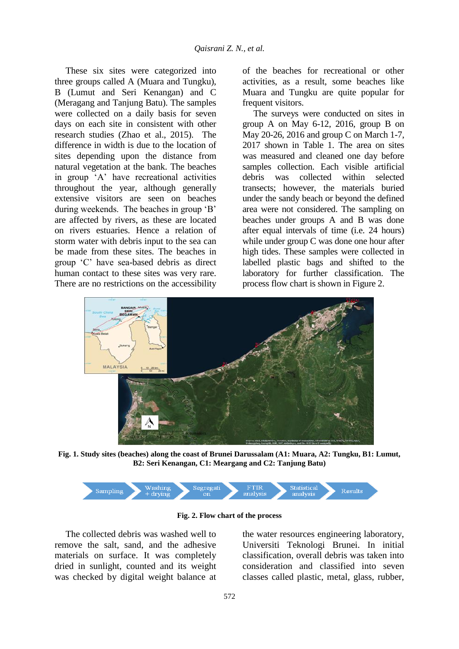These six sites were categorized into three groups called A (Muara and Tungku), B (Lumut and Seri Kenangan) and C (Meragang and Tanjung Batu). The samples were collected on a daily basis for seven days on each site in consistent with other research studies (Zhao et al., 2015). The difference in width is due to the location of sites depending upon the distance from natural vegetation at the bank. The beaches in group 'A' have recreational activities throughout the year, although generally extensive visitors are seen on beaches during weekends. The beaches in group 'B' are affected by rivers, as these are located on rivers estuaries. Hence a relation of storm water with debris input to the sea can be made from these sites. The beaches in group 'C' have sea-based debris as direct human contact to these sites was very rare. There are no restrictions on the accessibility

of the beaches for recreational or other activities, as a result, some beaches like Muara and Tungku are quite popular for frequent visitors.

The surveys were conducted on sites in group A on May 6-12, 2016, group B on May 20-26, 2016 and group C on March 1-7, 2017 shown in Table 1. The area on sites was measured and cleaned one day before samples collection. Each visible artificial debris was collected within selected transects; however, the materials buried under the sandy beach or beyond the defined area were not considered. The sampling on beaches under groups A and B was done after equal intervals of time (i.e. 24 hours) while under group C was done one hour after high tides. These samples were collected in labelled plastic bags and shifted to the laboratory for further classification. The process flow chart is shown in Figure 2.



**Fig. 1. Study sites (beaches) along the coast of Brunei Darussalam (A1: Muara, A2: Tungku, B1: Lumut, B2: Seri Kenangan, C1: Meargang and C2: Tanjung Batu)**



**Fig. 2. Flow chart of the process**

The collected debris was washed well to remove the salt, sand, and the adhesive materials on surface. It was completely dried in sunlight, counted and its weight was checked by digital weight balance at the water resources engineering laboratory, Universiti Teknologi Brunei. In initial classification, overall debris was taken into consideration and classified into seven classes called plastic, metal, glass, rubber,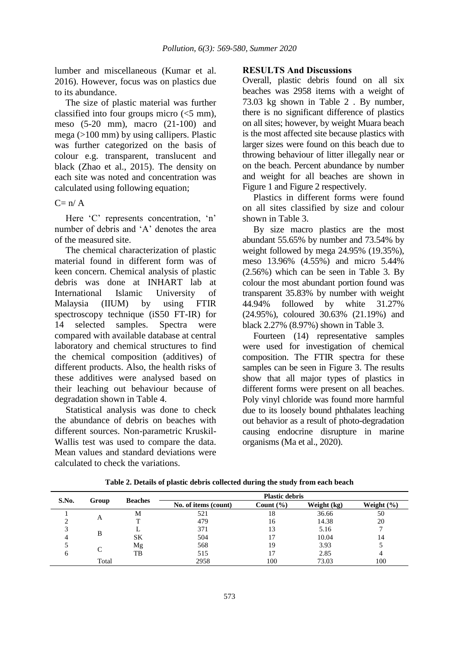lumber and miscellaneous (Kumar et al. 2016). However, focus was on plastics due to its abundance.

The size of plastic material was further classified into four groups micro (<5 mm), meso (5-20 mm), macro (21-100) and mega (>100 mm) by using callipers. Plastic was further categorized on the basis of colour e.g. transparent, translucent and black (Zhao et al., 2015). The density on each site was noted and concentration was calculated using following equation;

 $C = n/A$ 

Here 'C' represents concentration, 'n' number of debris and 'A' denotes the area of the measured site.

The chemical characterization of plastic material found in different form was of keen concern. Chemical analysis of plastic debris was done at INHART lab at International Islamic University of Malaysia (IIUM) by using FTIR spectroscopy technique (iS50 FT-IR) for 14 selected samples. Spectra were compared with available database at central laboratory and chemical structures to find the chemical composition (additives) of different products. Also, the health risks of these additives were analysed based on their leaching out behaviour because of degradation shown in Table 4.

Statistical analysis was done to check the abundance of debris on beaches with different sources. Non-parametric Kruskil-Wallis test was used to compare the data. Mean values and standard deviations were calculated to check the variations.

#### **RESULTS And Discussions**

Overall, plastic debris found on all six beaches was 2958 items with a weight of 73.03 kg shown in Table 2 . By number, there is no significant difference of plastics on all sites; however, by weight Muara beach is the most affected site because plastics with larger sizes were found on this beach due to throwing behaviour of litter illegally near or on the beach. Percent abundance by number and weight for all beaches are shown in Figure 1 and Figure 2 respectively.

Plastics in different forms were found on all sites classified by size and colour shown in Table 3.

By size macro plastics are the most abundant 55.65% by number and 73.54% by weight followed by mega 24.95% (19.35%), meso 13.96% (4.55%) and micro 5.44% (2.56%) which can be seen in Table 3. By colour the most abundant portion found was transparent 35.83% by number with weight 44.94% followed by white 31.27% (24.95%), coloured 30.63% (21.19%) and black 2.27% (8.97%) shown in Table 3.

Fourteen (14) representative samples were used for investigation of chemical composition. The FTIR spectra for these samples can be seen in Figure 3. The results show that all major types of plastics in different forms were present on all beaches. Poly vinyl chloride was found more harmful due to its loosely bound phthalates leaching out behavior as a result of photo-degradation causing endocrine disrupture in marine organisms (Ma et al., 2020).

| S.No. | Group | <b>Beaches</b> | <b>Plastic debris</b> |               |             |                |  |
|-------|-------|----------------|-----------------------|---------------|-------------|----------------|--|
|       |       |                | No. of items (count)  | Count $(\% )$ | Weight (kg) | Weight $(\% )$ |  |
|       |       | М              | 521                   | 18            | 36.66       | 50             |  |
|       | A     |                | 479                   | 16            | 14.38       | 20             |  |
|       | B     |                | 371                   | 13            | 5.16        |                |  |
|       |       | SK             | 504                   |               | 10.04       | 14             |  |
|       |       | Mg             | 568                   | 19            | 3.93        |                |  |
| n     |       | TB             | 515                   |               | 2.85        |                |  |
|       | Total |                | 2958                  | 100           | 73.03       | 100            |  |

**Table 2. Details of plastic debris collected during the study from each beach**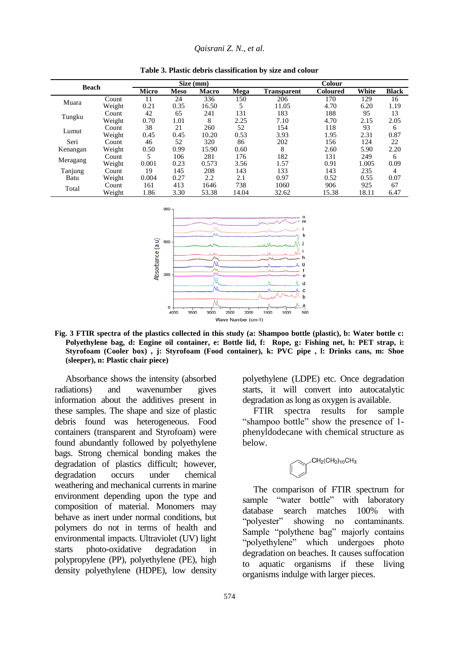| <b>Beach</b> |        |              |             | $\overline{Size}$ (mm) |       | <b>Colour</b>      |                 |       |              |
|--------------|--------|--------------|-------------|------------------------|-------|--------------------|-----------------|-------|--------------|
|              |        | <b>Micro</b> | <b>Meso</b> | Macro                  | Mega  | <b>Transparent</b> | <b>Coloured</b> | White | <b>Black</b> |
| Muara        | Count  | 11           | 24          | 336                    | 150   | 206                | 170             | 129   | 16           |
|              | Weight | 0.21         | 0.35        | 16.50                  | 5     | 11.05              | 4.70            | 6.20  | 1.19         |
|              | Count  | 42           | 65          | 241                    | 131   | 183                | 188             | 95    | 13           |
| Tungku       | Weight | 0.70         | 1.01        | 8                      | 2.25  | 7.10               | 4.70            | 2.15  | 2.05         |
|              | Count  | 38           | 21          | 260                    | 52    | 154                | 118             | 93    | 6            |
| Lumut        | Weight | 0.45         | 0.45        | 10.20                  | 0.53  | 3.93               | 1.95            | 2.31  | 0.87         |
| Seri         | Count  | 46           | 52          | 320                    | 86    | 202                | 156             | 124   | 22           |
| Kenangan     | Weight | 0.50         | 0.99        | 15.90                  | 0.60  | 8                  | 2.60            | 5.90  | 2.20         |
|              | Count  | 5            | 106         | 281                    | 176   | 182                | 131             | 249   | 6            |
| Meragang     | Weight | 0.001        | 0.23        | 0.573                  | 3.56  | 1.57               | 0.91            | 1.005 | 0.09         |
| Tanjung      | Count  | 19           | 145         | 208                    | 143   | 133                | 143             | 235   | 4            |
| Batu         | Weight | 0.004        | 0.27        | 2.2                    | 2.1   | 0.97               | 0.52            | 0.55  | 0.07         |
|              | Count  | 161          | 413         | 1646                   | 738   | 1060               | 906             | 925   | 67           |
| Total        | Weight | 1.86         | 3.30        | 53.38                  | 14.04 | 32.62              | 15.38           | 18.11 | 6.47         |

**Table 3. Plastic debris classification by size and colour**



**Fig. 3 FTIR spectra of the plastics collected in this study (a: Shampoo bottle (plastic), b: Water bottle c: Polyethylene bag, d: Engine oil container, e: Bottle lid, f: Rope, g: Fishing net, h: PET strap, i: Styrofoam (Cooler box) , j: Styrofoam (Food container), k: PVC pipe , l: Drinks cans, m: Shoe (sleeper), n: Plastic chair piece)**

Absorbance shows the intensity (absorbed radiations) and wavenumber gives information about the additives present in these samples. The shape and size of plastic debris found was heterogeneous. Food containers (transparent and Styrofoam) were found abundantly followed by polyethylene bags. Strong chemical bonding makes the degradation of plastics difficult; however, degradation occurs under chemical weathering and mechanical currents in marine environment depending upon the type and composition of material. Monomers may behave as inert under normal conditions, but polymers do not in terms of health and environmental impacts. Ultraviolet (UV) light starts photo-oxidative degradation in polypropylene (PP), polyethylene (PE), high density polyethylene (HDPE), low density

polyethylene (LDPE) etc. Once degradation starts, it will convert into autocatalytic degradation as long as oxygen is available.

FTIR spectra results for sample "shampoo bottle" show the presence of 1 phenyldodecane with chemical structure as below.



The comparison of FTIR spectrum for sample "water bottle" with laboratory database search matches 100% with "polyester" showing no contaminants. Sample "polythene bag" majorly contains "polyethylene" which undergoes photo degradation on beaches. It causes suffocation to aquatic organisms if these living organisms indulge with larger pieces.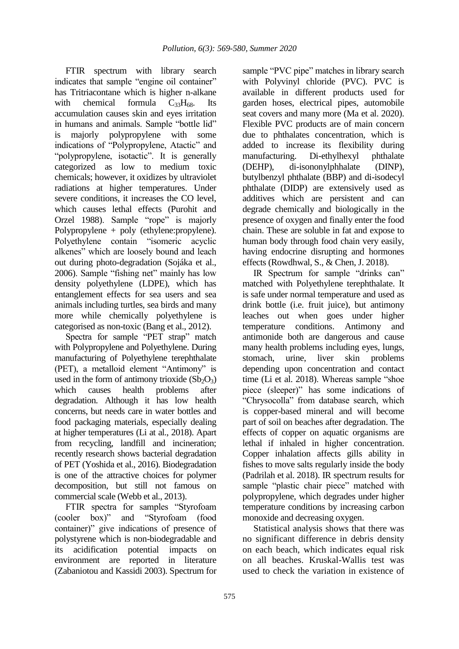FTIR spectrum with library search indicates that sample "engine oil container" has Tritriacontane which is higher n-alkane with chemical formula  $C_{33}H_{68}$ . Its accumulation causes skin and eyes irritation in humans and animals. Sample "bottle lid" is majorly polypropylene with some indications of "Polypropylene, Atactic" and "polypropylene, isotactic". It is generally categorized as low to medium toxic chemicals; however, it oxidizes by ultraviolet radiations at higher temperatures. Under severe conditions, it increases the CO level, which causes lethal effects (Purohit and Orzel 1988). Sample "rope" is majorly Polypropylene + poly (ethylene:propylene). Polyethylene contain "isomeric acyclic alkenes" which are loosely bound and leach out during photo-degradation (Sojáka et al., 2006). Sample "fishing net" mainly has low density polyethylene (LDPE), which has entanglement effects for sea users and sea animals including turtles, sea birds and many more while chemically polyethylene is categorised as non-toxic (Bang et al., 2012).

Spectra for sample "PET strap" match with Polypropylene and Polyethylene. During manufacturing of Polyethylene terephthalate (PET), a metalloid element "Antimony" is used in the form of antimony trioxide  $(Sb<sub>2</sub>O<sub>3</sub>)$ which causes health problems after degradation. Although it has low health concerns, but needs care in water bottles and food packaging materials, especially dealing at higher temperatures (Li at al., 2018). Apart from recycling, landfill and incineration; recently research shows bacterial degradation of PET (Yoshida et al., 2016). Biodegradation is one of the attractive choices for polymer decomposition, but still not famous on commercial scale (Webb et al., 2013).

FTIR spectra for samples "Styrofoam (cooler box)" and "Styrofoam (food container)" give indications of presence of polystyrene which is non-biodegradable and its acidification potential impacts on environment are reported in literature (Zabaniotou and Kassidi 2003). Spectrum for

sample "PVC pipe" matches in library search with Polyvinyl chloride (PVC). PVC is available in different products used for garden hoses, electrical pipes, automobile seat covers and many more (Ma et al. 2020). Flexible PVC products are of main concern due to phthalates concentration, which is added to increase its flexibility during manufacturing. Di-ethylhexyl phthalate (DEHP), di-isononylphhalate (DINP), butylbenzyl phthalate (BBP) and di-isodecyl phthalate (DIDP) are extensively used as additives which are persistent and can degrade chemically and biologically in the presence of oxygen and finally enter the food chain. These are soluble in fat and expose to human body through food chain very easily, having endocrine disrupting and hormones effects (Rowdhwal, S., & Chen, J. 2018).

IR Spectrum for sample "drinks can" matched with Polyethylene terephthalate. It is safe under normal temperature and used as drink bottle (i.e. fruit juice), but antimony leaches out when goes under higher temperature conditions. Antimony and antimonide both are dangerous and cause many health problems including eyes, lungs, stomach, urine, liver skin problems depending upon concentration and contact time (Li et al. 2018). Whereas sample "shoe piece (sleeper)" has some indications of "Chrysocolla" from database search, which is copper-based mineral and will become part of soil on beaches after degradation. The effects of copper on aquatic organisms are lethal if inhaled in higher concentration. Copper inhalation affects gills ability in fishes to move salts regularly inside the body (Padrilah et al. 2018). IR spectrum results for sample "plastic chair piece" matched with polypropylene, which degrades under higher temperature conditions by increasing carbon monoxide and decreasing oxygen.

Statistical analysis shows that there was no significant difference in debris density on each beach, which indicates equal risk on all beaches. Kruskal-Wallis test was used to check the variation in existence of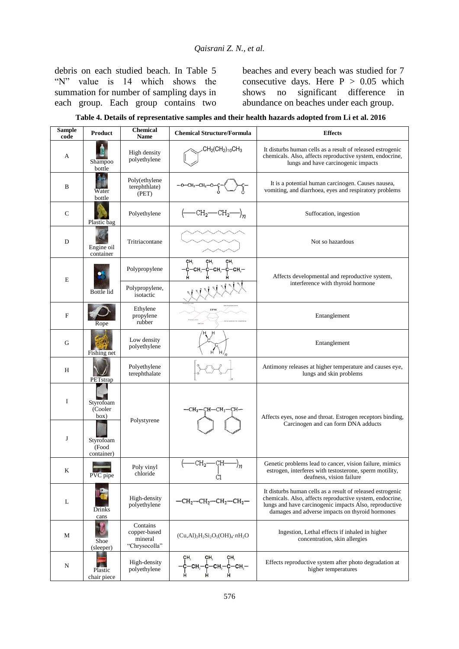debris on each studied beach. In Table 5 "N" value is 14 which shows the summation for number of sampling days in each group. Each group contains two

beaches and every beach was studied for 7 consecutive days. Here  $P > 0.05$  which shows no significant difference in abundance on beaches under each group.

**Table 4. Details of representative samples and their health hazards adopted from Li et al. 2016**

| <b>Sample</b><br>code | <b>Product</b>                   | <b>Chemical</b><br><b>Name</b>                       | <b>Chemical Structure/Formula</b>        | <b>Effects</b>                                                                                                                                                                                                                      |
|-----------------------|----------------------------------|------------------------------------------------------|------------------------------------------|-------------------------------------------------------------------------------------------------------------------------------------------------------------------------------------------------------------------------------------|
| A                     | Shampoo<br>bottle                | High density<br>polyethylene                         | $CH2(CH2)10CH3$                          | It disturbs human cells as a result of released estrogenic<br>chemicals. Also, affects reproductive system, endocrine,<br>lungs and have carcinogenic impacts                                                                       |
| B                     | Water<br>bottle                  | Poly(ethylene<br>terephthlate)<br>(PET)              |                                          | It is a potential human carcinogen. Causes nausea,<br>vomiting, and diarrhoea, eyes and respiratory problems                                                                                                                        |
| $\mathbf C$           | Plastic bag                      | Polyethylene                                         | $-CH_2$ — $CH_2$ — $\Big)$ <sub>n</sub>  | Suffocation, ingestion                                                                                                                                                                                                              |
| D                     | Engine oil<br>container          | Tritriacontane                                       |                                          | Not so hazardous                                                                                                                                                                                                                    |
| $\bf E$               |                                  | Polypropylene                                        | CH.<br>CH.<br>CH.<br>CH.<br>∙CH,—        | Affects developmental and reproductive system,                                                                                                                                                                                      |
|                       | Bottle lid                       | Polypropylene,<br>isotactic                          |                                          | interference with thyroid hormone                                                                                                                                                                                                   |
| $\mathbf F$           | Rope                             | Ethylene<br>propylene<br>rubber                      | <b>EPM</b>                               | Entanglement                                                                                                                                                                                                                        |
| G                     | Fishing net                      | Low density<br>polyethylene                          |                                          | Entanglement                                                                                                                                                                                                                        |
| H                     | PETstrap                         | Polyethylene<br>terephthalate                        |                                          | Antimony releases at higher temperature and causes eye,<br>lungs and skin problems                                                                                                                                                  |
| $\bf I$               | Styrofoam<br>(Cooler<br>box)     | Polystyrene                                          | —СН2—СН—СН2—СН−                          | Affects eyes, nose and throat. Estrogen receptors binding,                                                                                                                                                                          |
| J                     | Styrofoam<br>(Food<br>container) |                                                      |                                          | Carcinogen and can form DNA adducts                                                                                                                                                                                                 |
| K                     | PVC pipe                         | Poly vinyl<br>chloride                               | $-CH_2$ —CH-<br>'n<br>$\frac{1}{C1}$     | Genetic problems lead to cancer, vision failure, mimics<br>estrogen, interferes with testosterone, sperm motility,<br>deafness, vision failure                                                                                      |
| L                     | Drinks<br>cans                   | High-density<br>polyethylene                         | $-CH_2 - CH_2 - CH_2 - CH_2 -$           | It disturbs human cells as a result of released estrogenic<br>chemicals. Also, affects reproductive system, endocrine,<br>lungs and have carcinogenic impacts Also, reproductive<br>damages and adverse impacts on thyroid hormones |
| М                     | Shoe<br>(sleeper)                | Contains<br>copper-based<br>mineral<br>"Chrysocolla" | $(Cu, Al)_2H_2Si_2O_5(OH)_4 \cdot nH_2O$ | Ingestion, Lethal effects if inhaled in higher<br>concentration, skin allergies                                                                                                                                                     |
| N                     | Plastic<br>chair piece           | High-density<br>polyethylene                         | -¢—сн,—<br>$-CH$                         | Effects reproductive system after photo degradation at<br>higher temperatures                                                                                                                                                       |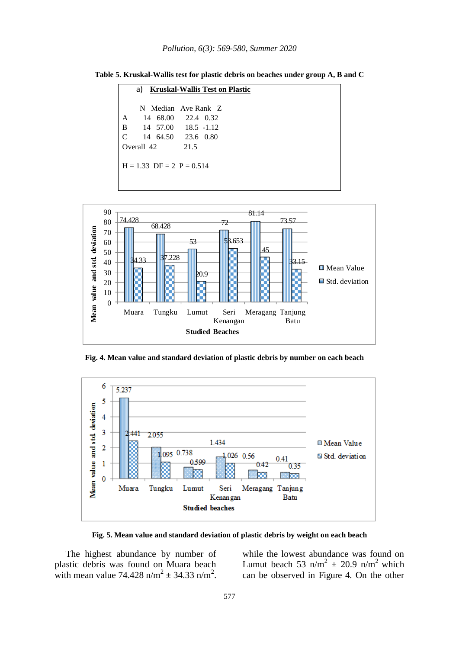| a) Kruskal-Wallis Test on Plastic |                             |                     |  |  |  |  |
|-----------------------------------|-----------------------------|---------------------|--|--|--|--|
|                                   |                             | N Median Ave Rank Z |  |  |  |  |
| A                                 |                             | 14 68.00 22.4 0.32  |  |  |  |  |
| B                                 |                             | 14 57.00 18.5 -1.12 |  |  |  |  |
| C                                 |                             | 14 64.50 23.6 0.80  |  |  |  |  |
|                                   | Overall 42                  | 21.5                |  |  |  |  |
|                                   |                             |                     |  |  |  |  |
|                                   | $H = 1.33$ DF = 2 P = 0.514 |                     |  |  |  |  |
|                                   |                             |                     |  |  |  |  |
|                                   |                             |                     |  |  |  |  |

**Table 5. Kruskal-Wallis test for plastic debris on beaches under group A, B and C**



**Fig. 4. Mean value and standard deviation of plastic debris by number on each beach**



**Fig. 5. Mean value and standard deviation of plastic debris by weight on each beach**

The highest abundance by number of plastic debris was found on Muara beach with mean value  $74.428 \text{ n/m}^2 \pm 34.33 \text{ n/m}^2$ . while the lowest abundance was found on Lumut beach 53 n/m<sup>2</sup>  $\pm$  20.9 n/m<sup>2</sup> which can be observed in Figure 4. On the other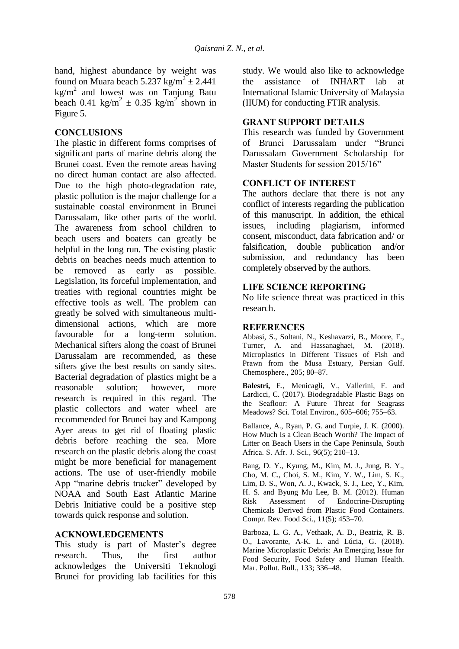hand, highest abundance by weight was found on Muara beach  $5.237 \text{ kg/m}^2 \pm 2.441$  $kg/m<sup>2</sup>$  and lowest was on Tanjung Batu beach 0.41 kg/m<sup>2</sup>  $\pm$  0.35 kg/m<sup>2</sup> shown in Figure 5.

# **CONCLUSIONS**

The plastic in different forms comprises of significant parts of marine debris along the Brunei coast. Even the remote areas having no direct human contact are also affected. Due to the high photo-degradation rate, plastic pollution is the major challenge for a sustainable coastal environment in Brunei Darussalam, like other parts of the world. The awareness from school children to beach users and boaters can greatly be helpful in the long run. The existing plastic debris on beaches needs much attention to be removed as early as possible. Legislation, its forceful implementation, and treaties with regional countries might be effective tools as well. The problem can greatly be solved with simultaneous multidimensional actions, which are more favourable for a long-term solution. Mechanical sifters along the coast of Brunei Darussalam are recommended, as these sifters give the best results on sandy sites. Bacterial degradation of plastics might be a reasonable solution; however, more research is required in this regard. The plastic collectors and water wheel are recommended for Brunei bay and Kampong Ayer areas to get rid of floating plastic debris before reaching the sea. More research on the plastic debris along the coast might be more beneficial for management actions. The use of user-friendly mobile App "marine debris tracker" developed by NOAA and South East Atlantic Marine Debris Initiative could be a positive step towards quick response and solution.

## **ACKNOWLEDGEMENTS**

This study is part of Master's degree research. Thus, the first author acknowledges the Universiti Teknologi Brunei for providing lab facilities for this study. We would also like to acknowledge the assistance of INHART lab at International Islamic University of Malaysia (IIUM) for conducting FTIR analysis.

# **GRANT SUPPORT DETAILS**

This research was funded by Government of Brunei Darussalam under "Brunei Darussalam Government Scholarship for Master Students for session 2015/16"

# **CONFLICT OF INTEREST**

The authors declare that there is not any conflict of interests regarding the publication of this manuscript. In addition, the ethical issues, including plagiarism, informed consent, misconduct, data fabrication and/ or falsification, double publication and/or submission, and redundancy has been completely observed by the authors.

## **LIFE SCIENCE REPORTING**

No life science threat was practiced in this research.

## **REFERENCES**

Abbasi, S., Soltani, N., Keshavarzi, B., Moore, F., Turner, A. and Hassanaghaei, M. (2018). Microplastics in Different Tissues of Fish and Prawn from the Musa Estuary, Persian Gulf. Chemosphere., 205; 80–87.

**Balestri,** E., Menicagli, V., Vallerini, F. and Lardicci, C. (2017). Biodegradable Plastic Bags on the Seafloor: A Future Threat for Seagrass Meadows? Sci. Total Environ., 605–606; 755–63.

Ballance, A., Ryan, P. G. and Turpie, J. K. (2000). How Much Is a Clean Beach Worth? The Impact of Litter on Beach Users in the Cape Peninsula, South Africa. S. Afr. J. Sci., 96(5); 210–13.

Bang, D. Y., Kyung, M., Kim, M. J., Jung, B. Y., Cho, M. C., Choi, S. M., Kim, Y. W., Lim, S. K., Lim, D. S., Won, A. J., Kwack, S. J., Lee, Y., Kim, H. S. and Byung Mu Lee, B. M. (2012). Human Risk Assessment of Endocrine-Disrupting Chemicals Derived from Plastic Food Containers. Compr. Rev. Food Sci., 11(5); 453–70.

Barboza, L. G. A., Vethaak, A. D., Beatriz, R. B. O., Lavorante, A-K. L. and Lúcia, G. (2018). Marine Microplastic Debris: An Emerging Issue for Food Security, Food Safety and Human Health. Mar. Pollut. Bull., 133; 336–48.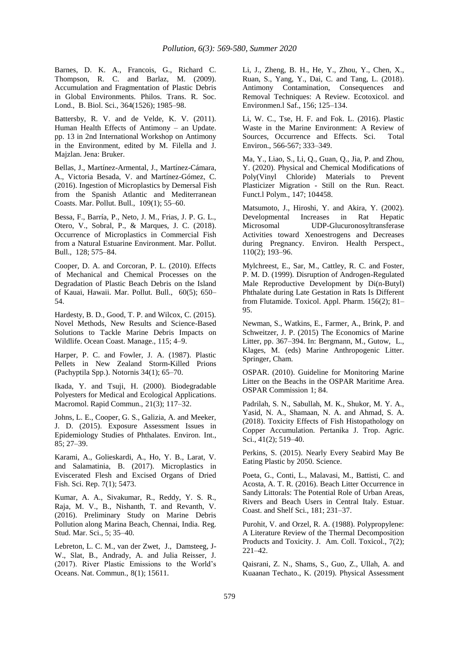Barnes, D. K. A., Francois, G., Richard C. Thompson, R. C. and Barlaz, M. (2009). Accumulation and Fragmentation of Plastic Debris in Global Environments. Philos. Trans. R. Soc. Lond., B. Biol. Sci., 364(1526); 1985–98.

Battersby, R. V. and de Velde, K. V. (2011). Human Health Effects of Antimony – an Update. pp. 13 in 2nd International Workshop on Antimony in the Environment, edited by M. Filella and J. Majzlan. Jena: Bruker.

Bellas, J., Martínez-Armental, J., Martínez-Cámara, A., Victoria Besada, V. and Martínez-Gómez, C. (2016). Ingestion of Microplastics by Demersal Fish from the Spanish Atlantic and Mediterranean Coasts. Mar. Pollut. Bull., 109(1); 55–60.

Bessa, F., Barría, P., Neto, J. M., Frias, J. P. G. L., Otero, V., Sobral, P., & Marques, J. C. (2018). Occurrence of Microplastics in Commercial Fish from a Natural Estuarine Environment. Mar. Pollut. Bull., 128; 575–84.

Cooper, D. A. and Corcoran, P. L. (2010). Effects of Mechanical and Chemical Processes on the Degradation of Plastic Beach Debris on the Island of Kauai, Hawaii. Mar. Pollut. Bull., 60(5); 650– 54.

Hardesty, B. D., Good, T. P. and Wilcox, C. (2015). Novel Methods, New Results and Science-Based Solutions to Tackle Marine Debris Impacts on Wildlife. Ocean Coast. Manage., 115; 4–9.

Harper, P. C. and Fowler, J. A. (1987). Plastic Pellets in New Zealand Storm-Killed Prions (Pachyptila Spp.). Notornis 34(1); 65–70.

Ikada, Y. and Tsuji, H. (2000). Biodegradable Polyesters for Medical and Ecological Applications. Macromol. Rapid Commun., 21(3); 117–32.

Johns, L. E., Cooper, G. S., Galizia, A. and Meeker, J. D. (2015). Exposure Assessment Issues in Epidemiology Studies of Phthalates. Environ. Int., 85; 27–39.

Karami, A., Golieskardi, A., Ho, Y. B., Larat, V. and Salamatinia, B. (2017). Microplastics in Eviscerated Flesh and Excised Organs of Dried Fish. Sci. Rep. 7(1); 5473.

Kumar, A. A., Sivakumar, R., Reddy, Y. S. R., Raja, M. V., B., Nishanth, T. and Revanth, V. (2016). Preliminary Study on Marine Debris Pollution along Marina Beach, Chennai, India. Reg. Stud. Mar. Sci., 5; 35–40.

Lebreton, L. C. M., van der Zwet, J., Damsteeg, J-W., Slat, B., Andrady, A. and Julia Reisser, J. (2017). River Plastic Emissions to the World's Oceans. Nat. Commun., 8(1); 15611.

Li, J., Zheng, B. H., He, Y., Zhou, Y., Chen, X., Ruan, S., Yang, Y., Dai, C. and Tang, L. (2018). Antimony Contamination, Consequences and Removal Techniques: A Review. Ecotoxicol. and Environmen.l Saf., 156; 125–134.

Li, W. C., Tse, H. F. and Fok. L. (2016). Plastic Waste in the Marine Environment: A Review of Sources, Occurrence and Effects. Sci. Total Environ., 566-567; 333–349.

Ma, Y., Liao, S., Li, Q., Guan, Q., Jia, P. and Zhou, Y. (2020). Physical and Chemical Modifications of Poly(Vinyl Chloride) Materials to Prevent Plasticizer Migration - Still on the Run. React. Funct.l Polym., 147; 104458.

Matsumoto, J., Hiroshi, Y. and Akira, Y. (2002). Developmental Increases in Rat Hepatic Microsomal UDP-Glucuronosyltransferase Activities toward Xenoestrogens and Decreases during Pregnancy. Environ. Health Perspect., 110(2); 193–96.

Mylchreest, E., Sar, M., Cattley, R. C. and Foster, P. M. D. (1999). Disruption of Androgen-Regulated Male Reproductive Development by Di(n-Butyl) Phthalate during Late Gestation in Rats Is Different from Flutamide. Toxicol. Appl. Pharm. 156(2); 81– 95.

Newman, S., Watkins, E., Farmer, A., Brink, P. and Schweitzer, J. P. (2015) The Economics of Marine Litter, pp. 367–394. In: Bergmann, M., Gutow, L., Klages, M. (eds) Marine Anthropogenic Litter. Springer, Cham.

OSPAR. (2010). Guideline for Monitoring Marine Litter on the Beachs in the OSPAR Maritime Area. OSPAR Commission 1; 84.

Padrilah, S. N., Sabullah, M. K., Shukor, M. Y. A., Yasid, N. A., Shamaan, N. A. and Ahmad, S. A. (2018). Toxicity Effects of Fish Histopathology on Copper Accumulation. Pertanika J. Trop. Agric. Sci., 41(2); 519–40.

Perkins, S. (2015). Nearly Every Seabird May Be Eating Plastic by 2050. Science.

Poeta, G., Conti, L., Malavasi, M., Battisti, C. and Acosta, A. T. R. (2016). Beach Litter Occurrence in Sandy Littorals: The Potential Role of Urban Areas, Rivers and Beach Users in Central Italy. Estuar. Coast. and Shelf Sci., 181; 231–37.

Purohit, V. and Orzel, R. A. (1988). Polypropylene: A Literature Review of the Thermal Decomposition Products and Toxicity. J. Am. Coll. Toxicol., 7(2); 221–42.

Qaisrani, Z. N., Shams, S., Guo, Z., Ullah, A. and Kuaanan Techato., K. (2019). Physical Assessment